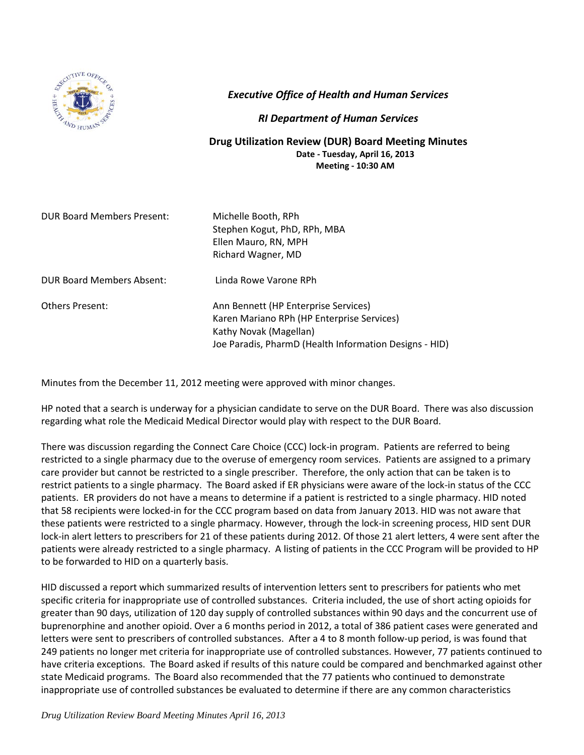

*Executive Office of Health and Human Services*

## *RI Department of Human Services*

## **Drug Utilization Review (DUR) Board Meeting Minutes Date - Tuesday, April 16, 2013 Meeting - 10:30 AM**

DUR Board Members Present: Michelle Booth, RPh

Stephen Kogut, PhD, RPh, MBA Ellen Mauro, RN, MPH Richard Wagner, MD

DUR Board Members Absent: Linda Rowe Varone RPh

Others Present: Ann Bennett (HP Enterprise Services) Karen Mariano RPh (HP Enterprise Services) Kathy Novak (Magellan) Joe Paradis, PharmD (Health Information Designs - HID)

Minutes from the December 11, 2012 meeting were approved with minor changes.

HP noted that a search is underway for a physician candidate to serve on the DUR Board. There was also discussion regarding what role the Medicaid Medical Director would play with respect to the DUR Board.

There was discussion regarding the Connect Care Choice (CCC) lock-in program. Patients are referred to being restricted to a single pharmacy due to the overuse of emergency room services. Patients are assigned to a primary care provider but cannot be restricted to a single prescriber. Therefore, the only action that can be taken is to restrict patients to a single pharmacy. The Board asked if ER physicians were aware of the lock-in status of the CCC patients. ER providers do not have a means to determine if a patient is restricted to a single pharmacy. HID noted that 58 recipients were locked-in for the CCC program based on data from January 2013. HID was not aware that these patients were restricted to a single pharmacy. However, through the lock-in screening process, HID sent DUR lock-in alert letters to prescribers for 21 of these patients during 2012. Of those 21 alert letters, 4 were sent after the patients were already restricted to a single pharmacy. A listing of patients in the CCC Program will be provided to HP to be forwarded to HID on a quarterly basis.

HID discussed a report which summarized results of intervention letters sent to prescribers for patients who met specific criteria for inappropriate use of controlled substances. Criteria included, the use of short acting opioids for greater than 90 days, utilization of 120 day supply of controlled substances within 90 days and the concurrent use of buprenorphine and another opioid. Over a 6 months period in 2012, a total of 386 patient cases were generated and letters were sent to prescribers of controlled substances. After a 4 to 8 month follow-up period, is was found that 249 patients no longer met criteria for inappropriate use of controlled substances. However, 77 patients continued to have criteria exceptions. The Board asked if results of this nature could be compared and benchmarked against other state Medicaid programs. The Board also recommended that the 77 patients who continued to demonstrate inappropriate use of controlled substances be evaluated to determine if there are any common characteristics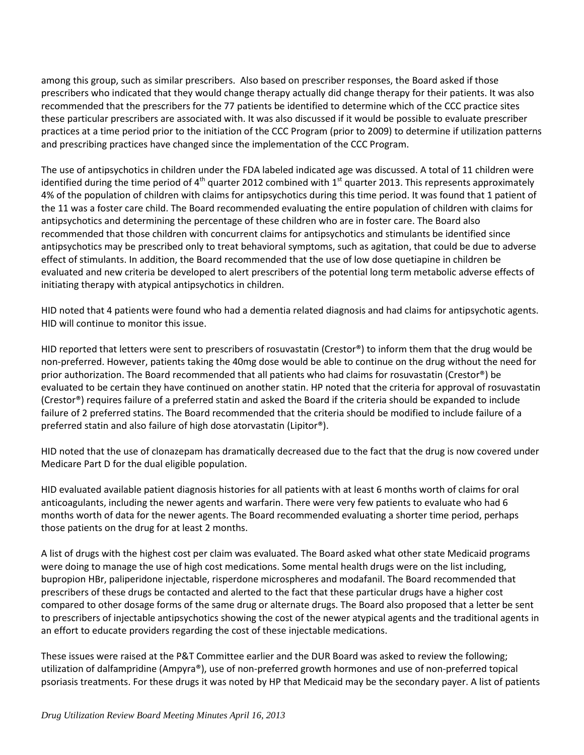among this group, such as similar prescribers. Also based on prescriber responses, the Board asked if those prescribers who indicated that they would change therapy actually did change therapy for their patients. It was also recommended that the prescribers for the 77 patients be identified to determine which of the CCC practice sites these particular prescribers are associated with. It was also discussed if it would be possible to evaluate prescriber practices at a time period prior to the initiation of the CCC Program (prior to 2009) to determine if utilization patterns and prescribing practices have changed since the implementation of the CCC Program.

The use of antipsychotics in children under the FDA labeled indicated age was discussed. A total of 11 children were identified during the time period of 4<sup>th</sup> quarter 2012 combined with 1<sup>st</sup> quarter 2013. This represents approximately 4% of the population of children with claims for antipsychotics during this time period. It was found that 1 patient of the 11 was a foster care child. The Board recommended evaluating the entire population of children with claims for antipsychotics and determining the percentage of these children who are in foster care. The Board also recommended that those children with concurrent claims for antipsychotics and stimulants be identified since antipsychotics may be prescribed only to treat behavioral symptoms, such as agitation, that could be due to adverse effect of stimulants. In addition, the Board recommended that the use of low dose quetiapine in children be evaluated and new criteria be developed to alert prescribers of the potential long term metabolic adverse effects of initiating therapy with atypical antipsychotics in children.

HID noted that 4 patients were found who had a dementia related diagnosis and had claims for antipsychotic agents. HID will continue to monitor this issue.

HID reported that letters were sent to prescribers of rosuvastatin (Crestor®) to inform them that the drug would be non-preferred. However, patients taking the 40mg dose would be able to continue on the drug without the need for prior authorization. The Board recommended that all patients who had claims for rosuvastatin (Crestor®) be evaluated to be certain they have continued on another statin. HP noted that the criteria for approval of rosuvastatin (Crestor®) requires failure of a preferred statin and asked the Board if the criteria should be expanded to include failure of 2 preferred statins. The Board recommended that the criteria should be modified to include failure of a preferred statin and also failure of high dose atorvastatin (Lipitor®).

HID noted that the use of clonazepam has dramatically decreased due to the fact that the drug is now covered under Medicare Part D for the dual eligible population.

HID evaluated available patient diagnosis histories for all patients with at least 6 months worth of claims for oral anticoagulants, including the newer agents and warfarin. There were very few patients to evaluate who had 6 months worth of data for the newer agents. The Board recommended evaluating a shorter time period, perhaps those patients on the drug for at least 2 months.

A list of drugs with the highest cost per claim was evaluated. The Board asked what other state Medicaid programs were doing to manage the use of high cost medications. Some mental health drugs were on the list including, bupropion HBr, paliperidone injectable, risperdone microspheres and modafanil. The Board recommended that prescribers of these drugs be contacted and alerted to the fact that these particular drugs have a higher cost compared to other dosage forms of the same drug or alternate drugs. The Board also proposed that a letter be sent to prescribers of injectable antipsychotics showing the cost of the newer atypical agents and the traditional agents in an effort to educate providers regarding the cost of these injectable medications.

These issues were raised at the P&T Committee earlier and the DUR Board was asked to review the following; utilization of dalfampridine (Ampyra®), use of non-preferred growth hormones and use of non-preferred topical psoriasis treatments. For these drugs it was noted by HP that Medicaid may be the secondary payer. A list of patients